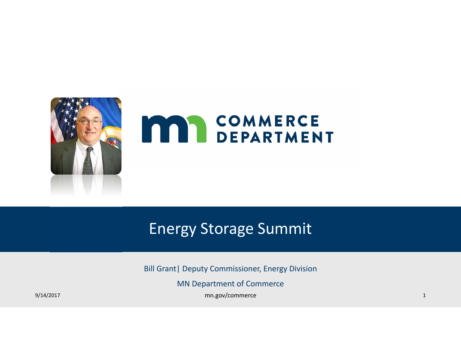

### Energy Storage Summit

Bill Grant| Deputy Commissioner, Energy Division

MN Department of Commerce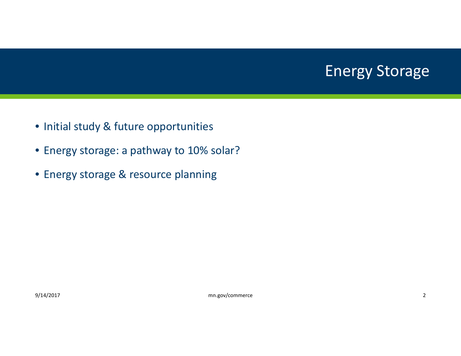### Energy Storage

- Initial study & future opportunities
- Energy storage: <sup>a</sup> pathway to 10% solar?
- Energy storage & resource planning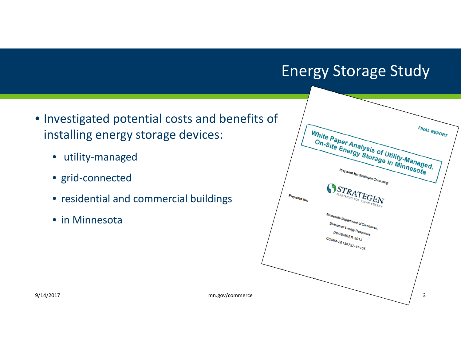### Energy Storage Study

- Investigated potential costs and benefits of installing energy storage devices:
	- utility‐managed
	- grid‐connected
	- residential and commercial buildings
	- in Minnesota

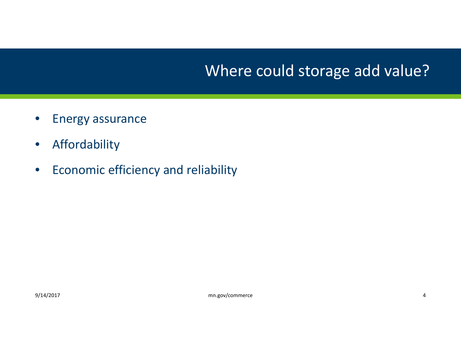## Where could storage add value?

- $\bullet$ Energy assurance
- $\bullet$ Affordability
- $\bullet$ **•** Economic efficiency and reliability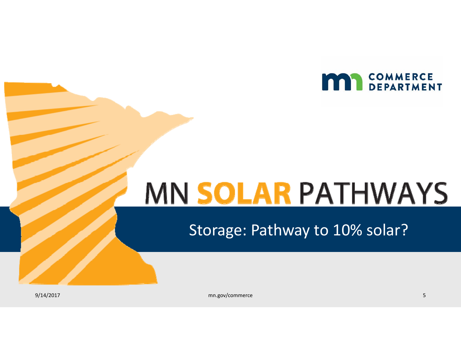

# MN SOLAR PATHWAYS

Storage: Pathway to 10% solar?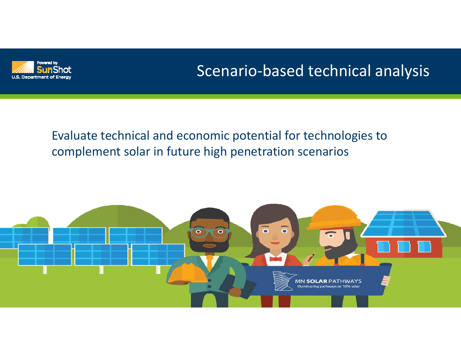

## Scenario‐based technical analysis

### Evaluate technical and economic potential for technologies to complement solar in future high penetration scenarios

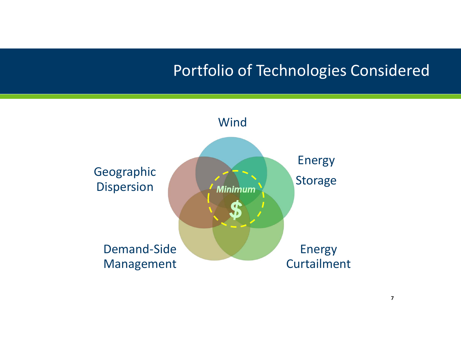### Portfolio of Technologies Considered

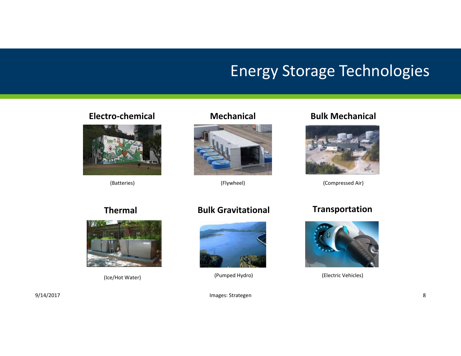### Energy Storage Technologies

#### **Electro‐chemical**



(Batteries)

#### **Mechanical**



(Flywheel)

#### **Bulk Mechanical**



(Compressed Air)

#### **Thermal**



(Ice/Hot Water)

#### **Bulk Gravitational**



(Pumped Hydro)

#### **Transportation**



(Electric Vehicles)

9/14/2017 **Images: Strategen** 8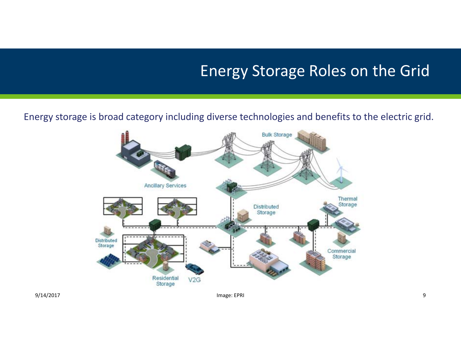### Energy Storage Roles on the Grid

#### Energy storage is broad category including diverse technologies and benefits to the electric grid.



9/14/2017 Image: EPRI 9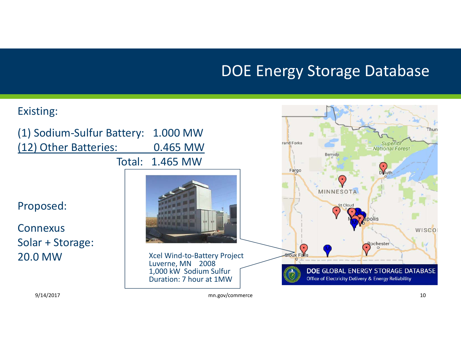### DOE Energy Storage Database

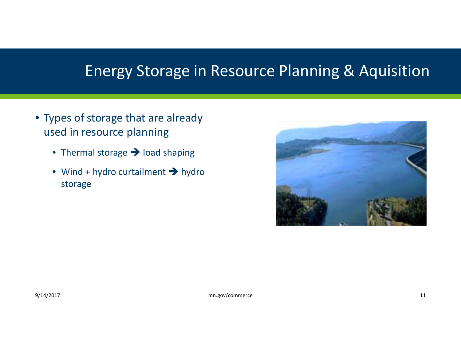### Energy Storage in Resource Planning & Aquisition

- Types of storage that are already used in resource planning
	- Thermal storage  $\rightarrow$  load shaping
	- Wind + hydro curtailment  $\rightarrow$  hydro storage

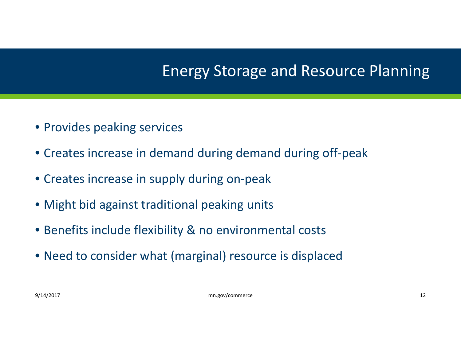### Energy Storage and Resource Planning

- Provides peaking services
- Creates increase in demand during demand during off‐peak
- Creates increase in supply during on‐peak
- Might bid against traditional peaking units
- Benefits include flexibility & no environmental costs
- Need to consider what (marginal) resource is displaced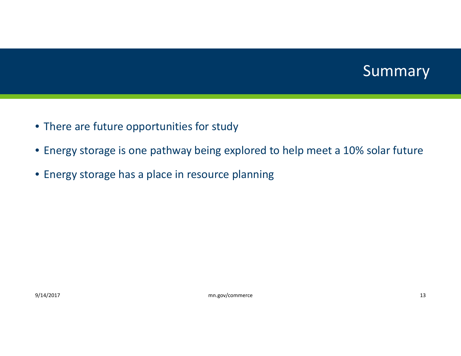

- There are future opportunities for study
- Energy storage is one pathway being explored to help meet <sup>a</sup> 10% solar future
- Energy storage has <sup>a</sup> place in resource planning